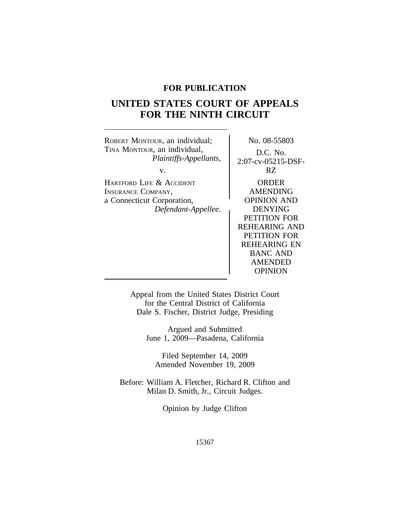# **FOR PUBLICATION**

# **UNITED STATES COURT OF APPEALS FOR THE NINTH CIRCUIT**

ROBERT MONTOUR, an individual;  $\overline{N}$  No. 08-55803 TINA MONTOUR, an individual,  $Plaintiffs-Appellants$ ,  $2.07 \text{ oz } 05215$ *Plaintiffs-Appellants,* 2:07-cv-05215-DSFv. RZ HARTFORD LIFE & ACCIDENT | ORDER INSURANCE COMPANY, AMENDING a Connecticut Corporation, COPINION AND *Defendant-Appellee.* DENYING PETITION FOR REHEARING AND PETITION FOR REHEARING EN BANC AND AMENDED OPINION

> Appeal from the United States District Court for the Central District of California Dale S. Fischer, District Judge, Presiding

> > Argued and Submitted June 1, 2009—Pasadena, California

Filed September 14, 2009 Amended November 19, 2009

Before: William A. Fletcher, Richard R. Clifton and Milan D. Smith, Jr., Circuit Judges.

Opinion by Judge Clifton

15367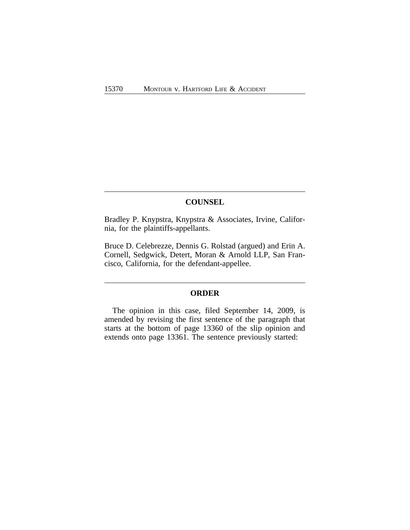# **COUNSEL**

Bradley P. Knypstra, Knypstra & Associates, Irvine, California, for the plaintiffs-appellants.

Bruce D. Celebrezze, Dennis G. Rolstad (argued) and Erin A. Cornell, Sedgwick, Detert, Moran & Arnold LLP, San Francisco, California, for the defendant-appellee.

### **ORDER**

The opinion in this case, filed September 14, 2009, is amended by revising the first sentence of the paragraph that starts at the bottom of page 13360 of the slip opinion and extends onto page 13361. The sentence previously started: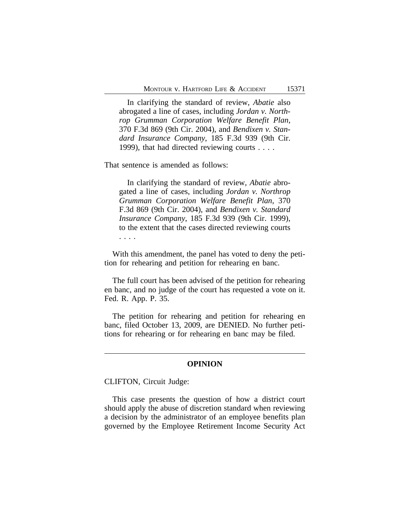In clarifying the standard of review, *Abatie* also abrogated a line of cases, including *Jordan v. Northrop Grumman Corporation Welfare Benefit Plan*, 370 F.3d 869 (9th Cir. 2004), and *Bendixen v. Standard Insurance Company*, 185 F.3d 939 (9th Cir. 1999), that had directed reviewing courts . . . .

That sentence is amended as follows:

In clarifying the standard of review, *Abatie* abrogated a line of cases, including *Jordan v. Northrop Grumman Corporation Welfare Benefit Plan*, 370 F.3d 869 (9th Cir. 2004), and *Bendixen v. Standard Insurance Company*, 185 F.3d 939 (9th Cir. 1999), to the extent that the cases directed reviewing courts . . . .

With this amendment, the panel has voted to deny the petition for rehearing and petition for rehearing en banc.

The full court has been advised of the petition for rehearing en banc, and no judge of the court has requested a vote on it. Fed. R. App. P. 35.

The petition for rehearing and petition for rehearing en banc, filed October 13, 2009, are DENIED. No further petitions for rehearing or for rehearing en banc may be filed.

### **OPINION**

CLIFTON, Circuit Judge:

This case presents the question of how a district court should apply the abuse of discretion standard when reviewing a decision by the administrator of an employee benefits plan governed by the Employee Retirement Income Security Act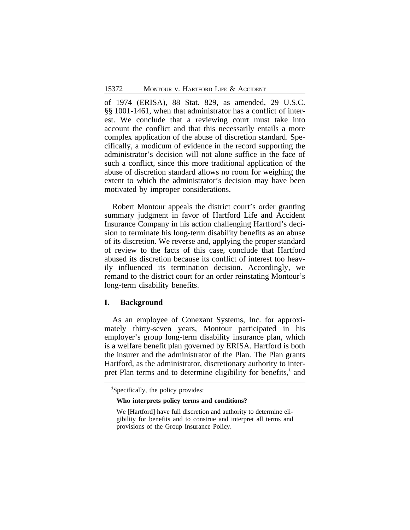of 1974 (ERISA), 88 Stat. 829, as amended, 29 U.S.C. §§ 1001-1461, when that administrator has a conflict of interest. We conclude that a reviewing court must take into account the conflict and that this necessarily entails a more complex application of the abuse of discretion standard. Specifically, a modicum of evidence in the record supporting the administrator's decision will not alone suffice in the face of such a conflict, since this more traditional application of the abuse of discretion standard allows no room for weighing the extent to which the administrator's decision may have been motivated by improper considerations.

Robert Montour appeals the district court's order granting summary judgment in favor of Hartford Life and Accident Insurance Company in his action challenging Hartford's decision to terminate his long-term disability benefits as an abuse of its discretion. We reverse and, applying the proper standard of review to the facts of this case, conclude that Hartford abused its discretion because its conflict of interest too heavily influenced its termination decision. Accordingly, we remand to the district court for an order reinstating Montour's long-term disability benefits.

### **I. Background**

As an employee of Conexant Systems, Inc. for approximately thirty-seven years, Montour participated in his employer's group long-term disability insurance plan, which is a welfare benefit plan governed by ERISA. Hartford is both the insurer and the administrator of the Plan. The Plan grants Hartford, as the administrator, discretionary authority to interpret Plan terms and to determine eligibility for benefits,**<sup>1</sup>** and

#### **Who interprets policy terms and conditions?**

**<sup>1</sup>**Specifically, the policy provides:

We [Hartford] have full discretion and authority to determine eligibility for benefits and to construe and interpret all terms and provisions of the Group Insurance Policy.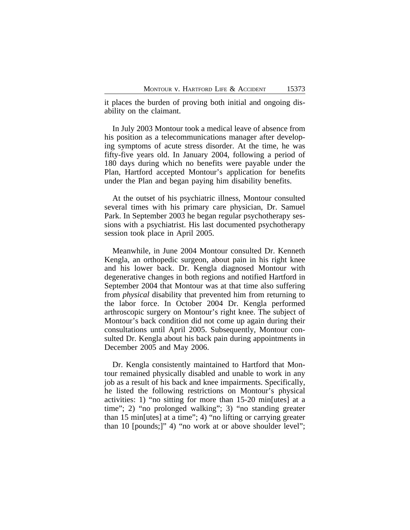it places the burden of proving both initial and ongoing disability on the claimant.

In July 2003 Montour took a medical leave of absence from his position as a telecommunications manager after developing symptoms of acute stress disorder. At the time, he was fifty-five years old. In January 2004, following a period of 180 days during which no benefits were payable under the Plan, Hartford accepted Montour's application for benefits under the Plan and began paying him disability benefits.

At the outset of his psychiatric illness, Montour consulted several times with his primary care physician, Dr. Samuel Park. In September 2003 he began regular psychotherapy sessions with a psychiatrist. His last documented psychotherapy session took place in April 2005.

Meanwhile, in June 2004 Montour consulted Dr. Kenneth Kengla, an orthopedic surgeon, about pain in his right knee and his lower back. Dr. Kengla diagnosed Montour with degenerative changes in both regions and notified Hartford in September 2004 that Montour was at that time also suffering from *physical* disability that prevented him from returning to the labor force. In October 2004 Dr. Kengla performed arthroscopic surgery on Montour's right knee. The subject of Montour's back condition did not come up again during their consultations until April 2005. Subsequently, Montour consulted Dr. Kengla about his back pain during appointments in December 2005 and May 2006.

Dr. Kengla consistently maintained to Hartford that Montour remained physically disabled and unable to work in any job as a result of his back and knee impairments. Specifically, he listed the following restrictions on Montour's physical activities: 1) "no sitting for more than 15-20 min[utes] at a time"; 2) "no prolonged walking"; 3) "no standing greater than 15 min[utes] at a time"; 4) "no lifting or carrying greater than 10 [pounds;]" 4) "no work at or above shoulder level";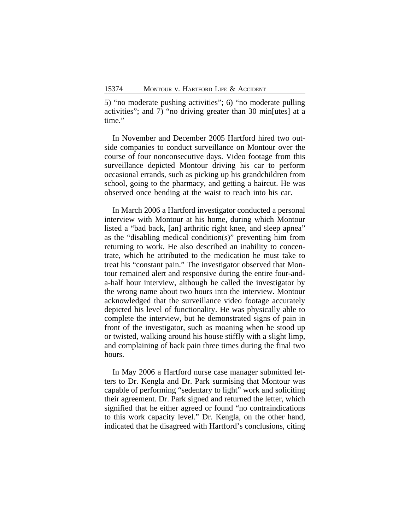5) "no moderate pushing activities"; 6) "no moderate pulling activities"; and 7) "no driving greater than 30 min[utes] at a time."

In November and December 2005 Hartford hired two outside companies to conduct surveillance on Montour over the course of four nonconsecutive days. Video footage from this surveillance depicted Montour driving his car to perform occasional errands, such as picking up his grandchildren from school, going to the pharmacy, and getting a haircut. He was observed once bending at the waist to reach into his car.

In March 2006 a Hartford investigator conducted a personal interview with Montour at his home, during which Montour listed a "bad back, [an] arthritic right knee, and sleep apnea" as the "disabling medical condition(s)" preventing him from returning to work. He also described an inability to concentrate, which he attributed to the medication he must take to treat his "constant pain." The investigator observed that Montour remained alert and responsive during the entire four-anda-half hour interview, although he called the investigator by the wrong name about two hours into the interview. Montour acknowledged that the surveillance video footage accurately depicted his level of functionality. He was physically able to complete the interview, but he demonstrated signs of pain in front of the investigator, such as moaning when he stood up or twisted, walking around his house stiffly with a slight limp, and complaining of back pain three times during the final two hours.

In May 2006 a Hartford nurse case manager submitted letters to Dr. Kengla and Dr. Park surmising that Montour was capable of performing "sedentary to light" work and soliciting their agreement. Dr. Park signed and returned the letter, which signified that he either agreed or found "no contraindications to this work capacity level." Dr. Kengla, on the other hand, indicated that he disagreed with Hartford's conclusions, citing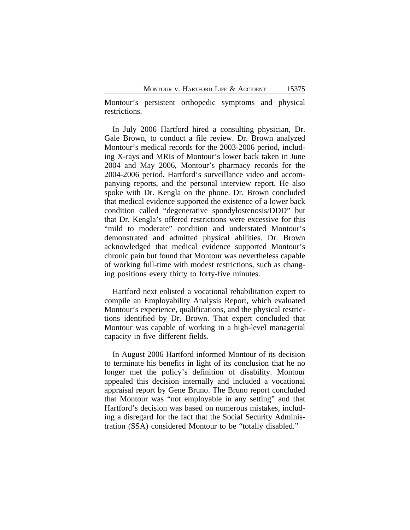Montour's persistent orthopedic symptoms and physical restrictions.

In July 2006 Hartford hired a consulting physician, Dr. Gale Brown, to conduct a file review. Dr. Brown analyzed Montour's medical records for the 2003-2006 period, including X-rays and MRIs of Montour's lower back taken in June 2004 and May 2006, Montour's pharmacy records for the 2004-2006 period, Hartford's surveillance video and accompanying reports, and the personal interview report. He also spoke with Dr. Kengla on the phone. Dr. Brown concluded that medical evidence supported the existence of a lower back condition called "degenerative spondylostenosis/DDD" but that Dr. Kengla's offered restrictions were excessive for this "mild to moderate" condition and understated Montour's demonstrated and admitted physical abilities. Dr. Brown acknowledged that medical evidence supported Montour's chronic pain but found that Montour was nevertheless capable of working full-time with modest restrictions, such as changing positions every thirty to forty-five minutes.

Hartford next enlisted a vocational rehabilitation expert to compile an Employability Analysis Report, which evaluated Montour's experience, qualifications, and the physical restrictions identified by Dr. Brown. That expert concluded that Montour was capable of working in a high-level managerial capacity in five different fields.

In August 2006 Hartford informed Montour of its decision to terminate his benefits in light of its conclusion that he no longer met the policy's definition of disability. Montour appealed this decision internally and included a vocational appraisal report by Gene Bruno. The Bruno report concluded that Montour was "not employable in any setting" and that Hartford's decision was based on numerous mistakes, including a disregard for the fact that the Social Security Administration (SSA) considered Montour to be "totally disabled."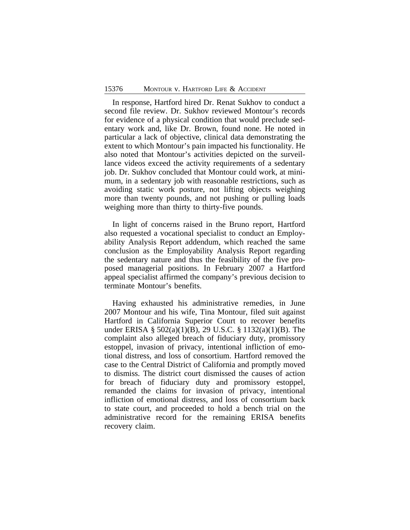In response, Hartford hired Dr. Renat Sukhov to conduct a second file review. Dr. Sukhov reviewed Montour's records for evidence of a physical condition that would preclude sedentary work and, like Dr. Brown, found none. He noted in particular a lack of objective, clinical data demonstrating the extent to which Montour's pain impacted his functionality. He also noted that Montour's activities depicted on the surveillance videos exceed the activity requirements of a sedentary job. Dr. Sukhov concluded that Montour could work, at minimum, in a sedentary job with reasonable restrictions, such as avoiding static work posture, not lifting objects weighing more than twenty pounds, and not pushing or pulling loads weighing more than thirty to thirty-five pounds.

In light of concerns raised in the Bruno report, Hartford also requested a vocational specialist to conduct an Employability Analysis Report addendum, which reached the same conclusion as the Employability Analysis Report regarding the sedentary nature and thus the feasibility of the five proposed managerial positions. In February 2007 a Hartford appeal specialist affirmed the company's previous decision to terminate Montour's benefits.

Having exhausted his administrative remedies, in June 2007 Montour and his wife, Tina Montour, filed suit against Hartford in California Superior Court to recover benefits under ERISA § 502(a)(1)(B), 29 U.S.C. § 1132(a)(1)(B). The complaint also alleged breach of fiduciary duty, promissory estoppel, invasion of privacy, intentional infliction of emotional distress, and loss of consortium. Hartford removed the case to the Central District of California and promptly moved to dismiss. The district court dismissed the causes of action for breach of fiduciary duty and promissory estoppel, remanded the claims for invasion of privacy, intentional infliction of emotional distress, and loss of consortium back to state court, and proceeded to hold a bench trial on the administrative record for the remaining ERISA benefits recovery claim.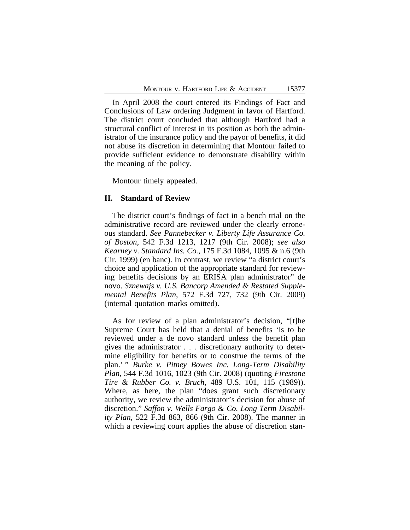In April 2008 the court entered its Findings of Fact and Conclusions of Law ordering Judgment in favor of Hartford. The district court concluded that although Hartford had a structural conflict of interest in its position as both the administrator of the insurance policy and the payor of benefits, it did not abuse its discretion in determining that Montour failed to provide sufficient evidence to demonstrate disability within the meaning of the policy.

Montour timely appealed.

### **II. Standard of Review**

The district court's findings of fact in a bench trial on the administrative record are reviewed under the clearly erroneous standard. *See Pannebecker v. Liberty Life Assurance Co. of Boston*, 542 F.3d 1213, 1217 (9th Cir. 2008); *see also Kearney v. Standard Ins. Co.*, 175 F.3d 1084, 1095 & n.6 (9th Cir. 1999) (en banc). In contrast, we review "a district court's choice and application of the appropriate standard for reviewing benefits decisions by an ERISA plan administrator" de novo. *Sznewajs v. U.S. Bancorp Amended & Restated Supplemental Benefits Plan*, 572 F.3d 727, 732 (9th Cir. 2009) (internal quotation marks omitted).

As for review of a plan administrator's decision, "[t]he Supreme Court has held that a denial of benefits 'is to be reviewed under a de novo standard unless the benefit plan gives the administrator . . . discretionary authority to determine eligibility for benefits or to construe the terms of the plan.' " *Burke v. Pitney Bowes Inc. Long-Term Disability Plan*, 544 F.3d 1016, 1023 (9th Cir. 2008) (quoting *Firestone Tire & Rubber Co. v. Bruch*, 489 U.S. 101, 115 (1989)). Where, as here, the plan "does grant such discretionary authority, we review the administrator's decision for abuse of discretion." *Saffon v. Wells Fargo & Co. Long Term Disability Plan*, 522 F.3d 863, 866 (9th Cir. 2008). The manner in which a reviewing court applies the abuse of discretion stan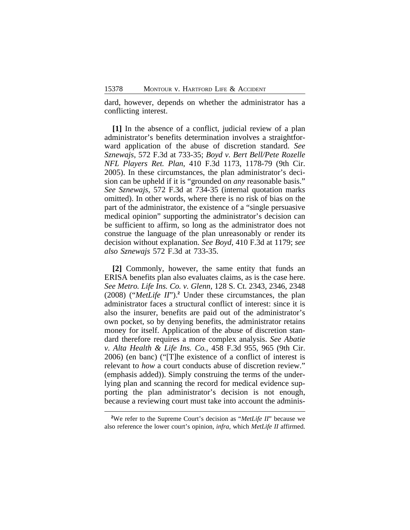dard, however, depends on whether the administrator has a conflicting interest.

**[1]** In the absence of a conflict, judicial review of a plan administrator's benefits determination involves a straightforward application of the abuse of discretion standard. *See Sznewajs*, 572 F.3d at 733-35; *Boyd v. Bert Bell/Pete Rozelle NFL Players Ret. Plan*, 410 F.3d 1173, 1178-79 (9th Cir. 2005). In these circumstances, the plan administrator's decision can be upheld if it is "grounded on *any* reasonable basis." *See Sznewajs*, 572 F.3d at 734-35 (internal quotation marks omitted). In other words, where there is no risk of bias on the part of the administrator, the existence of a "single persuasive medical opinion" supporting the administrator's decision can be sufficient to affirm, so long as the administrator does not construe the language of the plan unreasonably or render its decision without explanation. *See Boyd*, 410 F.3d at 1179; *see also Sznewajs* 572 F.3d at 733-35.

**[2]** Commonly, however, the same entity that funds an ERISA benefits plan also evaluates claims, as is the case here. *See Metro. Life Ins. Co. v. Glenn*, 128 S. Ct. 2343, 2346, 2348 (2008) ("*MetLife II*").**<sup>2</sup>** Under these circumstances, the plan administrator faces a structural conflict of interest: since it is also the insurer, benefits are paid out of the administrator's own pocket, so by denying benefits, the administrator retains money for itself. Application of the abuse of discretion standard therefore requires a more complex analysis. *See Abatie v. Alta Health & Life Ins. Co.*, 458 F.3d 955, 965 (9th Cir. 2006) (en banc) ("[T]he existence of a conflict of interest is relevant to *how* a court conducts abuse of discretion review." (emphasis added)). Simply construing the terms of the underlying plan and scanning the record for medical evidence supporting the plan administrator's decision is not enough, because a reviewing court must take into account the adminis-

**<sup>2</sup>**We refer to the Supreme Court's decision as "*MetLife II*" because we also reference the lower court's opinion, *infra*, which *MetLife II* affirmed.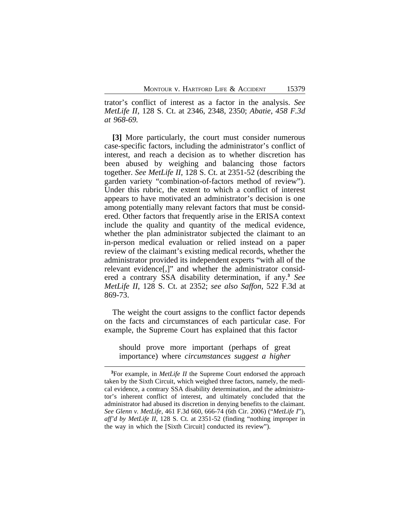trator's conflict of interest as a factor in the analysis. *See MetLife II*, 128 S. Ct. at 2346, 2348, 2350; *Abatie*, *458 F.3d at 968-69.* 

**[3]** More particularly, the court must consider numerous case-specific factors, including the administrator's conflict of interest, and reach a decision as to whether discretion has been abused by weighing and balancing those factors together. *See MetLife II*, 128 S. Ct. at 2351-52 (describing the garden variety "combination-of-factors method of review"). Under this rubric, the extent to which a conflict of interest appears to have motivated an administrator's decision is one among potentially many relevant factors that must be considered. Other factors that frequently arise in the ERISA context include the quality and quantity of the medical evidence, whether the plan administrator subjected the claimant to an in-person medical evaluation or relied instead on a paper review of the claimant's existing medical records, whether the administrator provided its independent experts "with all of the relevant evidence[,]" and whether the administrator considered a contrary SSA disability determination, if any.**<sup>3</sup>** *See MetLife II*, 128 S. Ct. at 2352; *see also Saffon*, 522 F.3d at 869-73.

The weight the court assigns to the conflict factor depends on the facts and circumstances of each particular case. For example, the Supreme Court has explained that this factor

should prove more important (perhaps of great importance) where *circumstances suggest a higher*

**<sup>3</sup>**For example, in *MetLife II* the Supreme Court endorsed the approach taken by the Sixth Circuit, which weighed three factors, namely, the medical evidence, a contrary SSA disability determination, and the administrator's inherent conflict of interest, and ultimately concluded that the administrator had abused its discretion in denying benefits to the claimant. *See Glenn v. MetLife*, 461 F.3d 660, 666-74 (6th Cir. 2006) ("*MetLife I*"), *aff'd by MetLife II*, 128 S. Ct. at 2351-52 (finding "nothing improper in the way in which the [Sixth Circuit] conducted its review").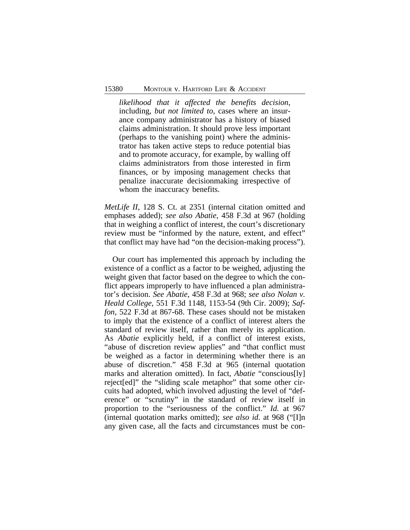*likelihood that it affected the benefits decision*, including, *but not limited to*, cases where an insurance company administrator has a history of biased claims administration. It should prove less important (perhaps to the vanishing point) where the administrator has taken active steps to reduce potential bias and to promote accuracy, for example, by walling off claims administrators from those interested in firm finances, or by imposing management checks that penalize inaccurate decisionmaking irrespective of whom the inaccuracy benefits.

*MetLife II*, 128 S. Ct. at 2351 (internal citation omitted and emphases added); *see also Abatie*, 458 F.3d at 967 (holding that in weighing a conflict of interest, the court's discretionary review must be "informed by the nature, extent, and effect" that conflict may have had "on the decision-making process").

Our court has implemented this approach by including the existence of a conflict as a factor to be weighed, adjusting the weight given that factor based on the degree to which the conflict appears improperly to have influenced a plan administrator's decision. *See Abatie*, 458 F.3d at 968; *see also Nolan v. Heald College*, 551 F.3d 1148, 1153-54 (9th Cir. 2009); *Saffon*, 522 F.3d at 867-68. These cases should not be mistaken to imply that the existence of a conflict of interest alters the standard of review itself, rather than merely its application. As *Abatie* explicitly held, if a conflict of interest exists, "abuse of discretion review applies" and "that conflict must be weighed as a factor in determining whether there is an abuse of discretion." 458 F.3d at 965 (internal quotation marks and alteration omitted). In fact, *Abatie* "conscious[ly] reject[ed]" the "sliding scale metaphor" that some other circuits had adopted, which involved adjusting the level of "deference" or "scrutiny" in the standard of review itself in proportion to the "seriousness of the conflict." *Id.* at 967 (internal quotation marks omitted); *see also id.* at 968 ("[I]n any given case, all the facts and circumstances must be con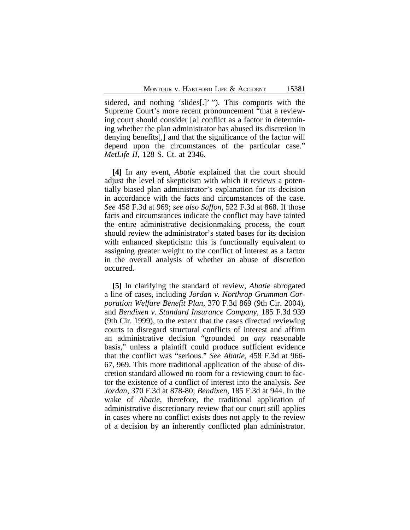sidered, and nothing 'slides[.]' "). This comports with the Supreme Court's more recent pronouncement "that a reviewing court should consider [a] conflict as a factor in determining whether the plan administrator has abused its discretion in denying benefits[,] and that the significance of the factor will depend upon the circumstances of the particular case." *MetLife II*, 128 S. Ct. at 2346.

**[4]** In any event, *Abatie* explained that the court should adjust the level of skepticism with which it reviews a potentially biased plan administrator's explanation for its decision in accordance with the facts and circumstances of the case. *See* 458 F.3d at 969; *see also Saffon*, 522 F.3d at 868. If those facts and circumstances indicate the conflict may have tainted the entire administrative decisionmaking process, the court should review the administrator's stated bases for its decision with enhanced skepticism: this is functionally equivalent to assigning greater weight to the conflict of interest as a factor in the overall analysis of whether an abuse of discretion occurred.

**[5]** In clarifying the standard of review, *Abatie* abrogated a line of cases, including *Jordan v. Northrop Grumman Corporation Welfare Benefit Plan*, 370 F.3d 869 (9th Cir. 2004), and *Bendixen v. Standard Insurance Company*, 185 F.3d 939 (9th Cir. 1999), to the extent that the cases directed reviewing courts to disregard structural conflicts of interest and affirm an administrative decision "grounded on *any* reasonable basis," unless a plaintiff could produce sufficient evidence that the conflict was "serious." *See Abatie*, 458 F.3d at 966- 67, 969. This more traditional application of the abuse of discretion standard allowed no room for a reviewing court to factor the existence of a conflict of interest into the analysis. *See Jordan*, 370 F.3d at 878-80; *Bendixen*, 185 F.3d at 944. In the wake of *Abatie*, therefore, the traditional application of administrative discretionary review that our court still applies in cases where no conflict exists does not apply to the review of a decision by an inherently conflicted plan administrator.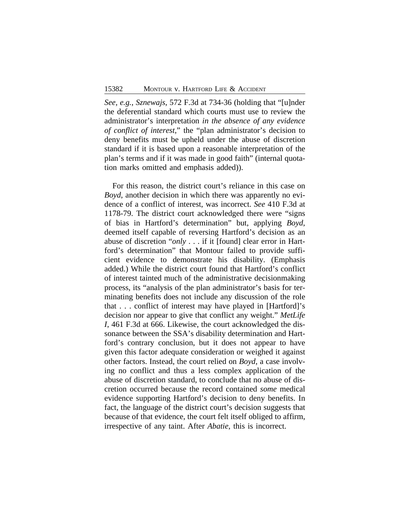*See, e.g.*, *Sznewajs*, 572 F.3d at 734-36 (holding that "[u]nder the deferential standard which courts must use to review the administrator's interpretation *in the absence of any evidence of conflict of interest*," the "plan administrator's decision to deny benefits must be upheld under the abuse of discretion standard if it is based upon a reasonable interpretation of the plan's terms and if it was made in good faith" (internal quotation marks omitted and emphasis added)).

For this reason, the district court's reliance in this case on *Boyd*, another decision in which there was apparently no evidence of a conflict of interest, was incorrect. *See* 410 F.3d at 1178-79. The district court acknowledged there were "signs of bias in Hartford's determination" but, applying *Boyd*, deemed itself capable of reversing Hartford's decision as an abuse of discretion "*only* . . . if it [found] clear error in Hartford's determination" that Montour failed to provide sufficient evidence to demonstrate his disability. (Emphasis added.) While the district court found that Hartford's conflict of interest tainted much of the administrative decisionmaking process, its "analysis of the plan administrator's basis for terminating benefits does not include any discussion of the role that . . . conflict of interest may have played in [Hartford]'s decision nor appear to give that conflict any weight." *MetLife I*, 461 F.3d at 666. Likewise, the court acknowledged the dissonance between the SSA's disability determination and Hartford's contrary conclusion, but it does not appear to have given this factor adequate consideration or weighed it against other factors. Instead, the court relied on *Boyd*, a case involving no conflict and thus a less complex application of the abuse of discretion standard, to conclude that no abuse of discretion occurred because the record contained *some* medical evidence supporting Hartford's decision to deny benefits. In fact, the language of the district court's decision suggests that because of that evidence, the court felt itself obliged to affirm, irrespective of any taint. After *Abatie*, this is incorrect.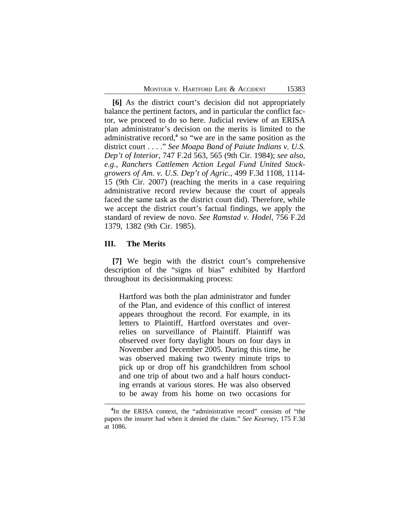**[6]** As the district court's decision did not appropriately balance the pertinent factors, and in particular the conflict factor, we proceed to do so here. Judicial review of an ERISA plan administrator's decision on the merits is limited to the administrative record,<sup>4</sup> so "we are in the same position as the district court . . . ." *See Moapa Band of Paiute Indians v. U.S. Dep't of Interior*, 747 F.2d 563, 565 (9th Cir. 1984); *see also, e.g.*, *Ranchers Cattlemen Action Legal Fund United Stockgrowers of Am. v. U.S. Dep't of Agric.*, 499 F.3d 1108, 1114- 15 (9th Cir. 2007) (reaching the merits in a case requiring administrative record review because the court of appeals faced the same task as the district court did). Therefore, while we accept the district court's factual findings, we apply the standard of review de novo. *See Ramstad v. Hodel*, 756 F.2d 1379, 1382 (9th Cir. 1985).

### **III. The Merits**

**[7]** We begin with the district court's comprehensive description of the "signs of bias" exhibited by Hartford throughout its decisionmaking process:

Hartford was both the plan administrator and funder of the Plan, and evidence of this conflict of interest appears throughout the record. For example, in its letters to Plaintiff, Hartford overstates and overrelies on surveillance of Plaintiff. Plaintiff was observed over forty daylight hours on four days in November and December 2005. During this time, he was observed making two twenty minute trips to pick up or drop off his grandchildren from school and one trip of about two and a half hours conducting errands at various stores. He was also observed to be away from his home on two occasions for

**<sup>4</sup>** In the ERISA context, the "administrative record" consists of "the papers the insurer had when it denied the claim." *See Kearney*, 175 F.3d at 1086.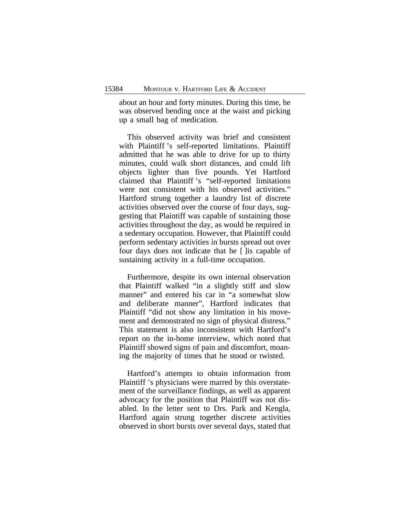about an hour and forty minutes. During this time, he was observed bending once at the waist and picking up a small bag of medication.

This observed activity was brief and consistent with Plaintiff 's self-reported limitations. Plaintiff admitted that he was able to drive for up to thirty minutes, could walk short distances, and could lift objects lighter than five pounds. Yet Hartford claimed that Plaintiff 's "self-reported limitations were not consistent with his observed activities." Hartford strung together a laundry list of discrete activities observed over the course of four days, suggesting that Plaintiff was capable of sustaining those activities throughout the day, as would be required in a sedentary occupation. However, that Plaintiff could perform sedentary activities in bursts spread out over four days does not indicate that he [ ]is capable of sustaining activity in a full-time occupation.

Furthermore, despite its own internal observation that Plaintiff walked "in a slightly stiff and slow manner" and entered his car in "a somewhat slow and deliberate manner", Hartford indicates that Plaintiff "did not show any limitation in his movement and demonstrated no sign of physical distress." This statement is also inconsistent with Hartford's report on the in-home interview, which noted that Plaintiff showed signs of pain and discomfort, moaning the majority of times that he stood or twisted.

Hartford's attempts to obtain information from Plaintiff 's physicians were marred by this overstatement of the surveillance findings, as well as apparent advocacy for the position that Plaintiff was not disabled. In the letter sent to Drs. Park and Kengla, Hartford again strung together discrete activities observed in short bursts over several days, stated that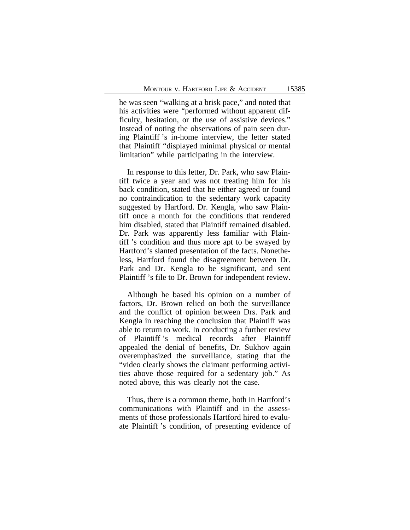he was seen "walking at a brisk pace," and noted that his activities were "performed without apparent difficulty, hesitation, or the use of assistive devices." Instead of noting the observations of pain seen during Plaintiff 's in-home interview, the letter stated that Plaintiff "displayed minimal physical or mental limitation" while participating in the interview.

In response to this letter, Dr. Park, who saw Plaintiff twice a year and was not treating him for his back condition, stated that he either agreed or found no contraindication to the sedentary work capacity suggested by Hartford. Dr. Kengla, who saw Plaintiff once a month for the conditions that rendered him disabled, stated that Plaintiff remained disabled. Dr. Park was apparently less familiar with Plaintiff 's condition and thus more apt to be swayed by Hartford's slanted presentation of the facts. Nonetheless, Hartford found the disagreement between Dr. Park and Dr. Kengla to be significant, and sent Plaintiff 's file to Dr. Brown for independent review.

Although he based his opinion on a number of factors, Dr. Brown relied on both the surveillance and the conflict of opinion between Drs. Park and Kengla in reaching the conclusion that Plaintiff was able to return to work. In conducting a further review of Plaintiff 's medical records after Plaintiff appealed the denial of benefits, Dr. Sukhov again overemphasized the surveillance, stating that the "video clearly shows the claimant performing activities above those required for a sedentary job." As noted above, this was clearly not the case.

Thus, there is a common theme, both in Hartford's communications with Plaintiff and in the assessments of those professionals Hartford hired to evaluate Plaintiff 's condition, of presenting evidence of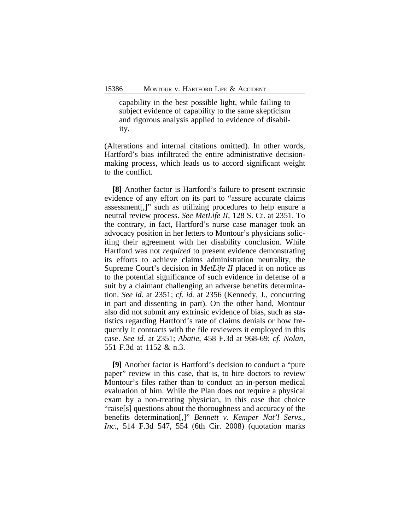capability in the best possible light, while failing to subject evidence of capability to the same skepticism and rigorous analysis applied to evidence of disability.

(Alterations and internal citations omitted). In other words, Hartford's bias infiltrated the entire administrative decisionmaking process, which leads us to accord significant weight to the conflict.

**[8]** Another factor is Hartford's failure to present extrinsic evidence of any effort on its part to "assure accurate claims assessment[,]" such as utilizing procedures to help ensure a neutral review process. *See MetLife II*, 128 S. Ct. at 2351. To the contrary, in fact, Hartford's nurse case manager took an advocacy position in her letters to Montour's physicians soliciting their agreement with her disability conclusion. While Hartford was not *required* to present evidence demonstrating its efforts to achieve claims administration neutrality, the Supreme Court's decision in *MetLife II* placed it on notice as to the potential significance of such evidence in defense of a suit by a claimant challenging an adverse benefits determination. *See id.* at 2351; *cf. id.* at 2356 (Kennedy, J., concurring in part and dissenting in part). On the other hand, Montour also did not submit any extrinsic evidence of bias, such as statistics regarding Hartford's rate of claims denials or how frequently it contracts with the file reviewers it employed in this case. *See id.* at 2351; *Abatie*, 458 F.3d at 968-69; *cf. Nolan*, 551 F.3d at 1152 & n.3.

**[9]** Another factor is Hartford's decision to conduct a "pure paper" review in this case, that is, to hire doctors to review Montour's files rather than to conduct an in-person medical evaluation of him. While the Plan does not require a physical exam by a non-treating physician, in this case that choice "raise[s] questions about the thoroughness and accuracy of the benefits determination[,]" *Bennett v. Kemper Nat'l Servs., Inc.*, 514 F.3d 547, 554 (6th Cir. 2008) (quotation marks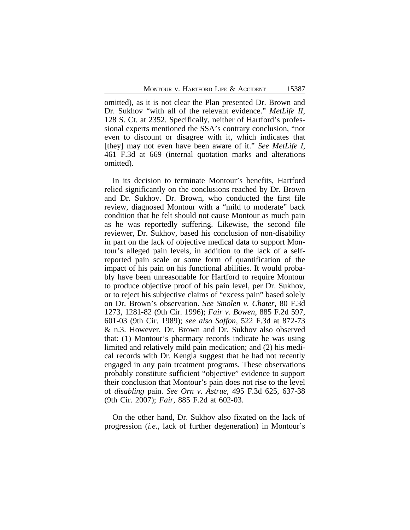omitted), as it is not clear the Plan presented Dr. Brown and Dr. Sukhov "with all of the relevant evidence." *MetLife II*, 128 S. Ct. at 2352. Specifically, neither of Hartford's professional experts mentioned the SSA's contrary conclusion, "not even to discount or disagree with it, which indicates that [they] may not even have been aware of it." *See MetLife I*, 461 F.3d at 669 (internal quotation marks and alterations omitted).

In its decision to terminate Montour's benefits, Hartford relied significantly on the conclusions reached by Dr. Brown and Dr. Sukhov. Dr. Brown, who conducted the first file review, diagnosed Montour with a "mild to moderate" back condition that he felt should not cause Montour as much pain as he was reportedly suffering. Likewise, the second file reviewer, Dr. Sukhov, based his conclusion of non-disability in part on the lack of objective medical data to support Montour's alleged pain levels, in addition to the lack of a selfreported pain scale or some form of quantification of the impact of his pain on his functional abilities. It would probably have been unreasonable for Hartford to require Montour to produce objective proof of his pain level, per Dr. Sukhov, or to reject his subjective claims of "excess pain" based solely on Dr. Brown's observation. *See Smolen v. Chater*, 80 F.3d 1273, 1281-82 (9th Cir. 1996); *Fair v. Bowen*, 885 F.2d 597, 601-03 (9th Cir. 1989); *see also Saffon*, 522 F.3d at 872-73 & n.3. However, Dr. Brown and Dr. Sukhov also observed that: (1) Montour's pharmacy records indicate he was using limited and relatively mild pain medication; and (2) his medical records with Dr. Kengla suggest that he had not recently engaged in any pain treatment programs. These observations probably constitute sufficient "objective" evidence to support their conclusion that Montour's pain does not rise to the level of *disabling* pain. *See Orn v. Astrue*, 495 F.3d 625, 637-38 (9th Cir. 2007); *Fair*, 885 F.2d at 602-03.

On the other hand, Dr. Sukhov also fixated on the lack of progression (*i.e.*, lack of further degeneration) in Montour's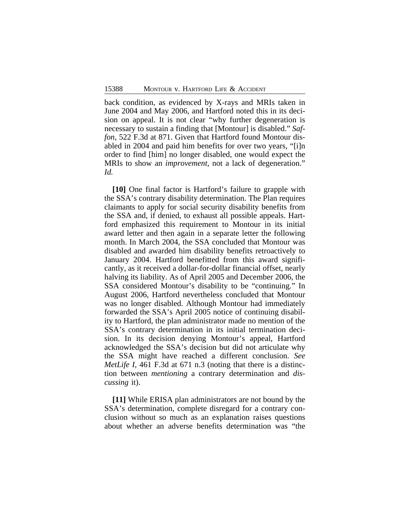back condition, as evidenced by X-rays and MRIs taken in June 2004 and May 2006, and Hartford noted this in its decision on appeal. It is not clear "why further degeneration is necessary to sustain a finding that [Montour] is disabled." *Saffon*, 522 F.3d at 871. Given that Hartford found Montour disabled in 2004 and paid him benefits for over two years, "[i]n order to find [him] no longer disabled, one would expect the MRIs to show an *improvement*, not a lack of degeneration." *Id.*

**[10]** One final factor is Hartford's failure to grapple with the SSA's contrary disability determination. The Plan requires claimants to apply for social security disability benefits from the SSA and, if denied, to exhaust all possible appeals. Hartford emphasized this requirement to Montour in its initial award letter and then again in a separate letter the following month. In March 2004, the SSA concluded that Montour was disabled and awarded him disability benefits retroactively to January 2004. Hartford benefitted from this award significantly, as it received a dollar-for-dollar financial offset, nearly halving its liability. As of April 2005 and December 2006, the SSA considered Montour's disability to be "continuing." In August 2006, Hartford nevertheless concluded that Montour was no longer disabled. Although Montour had immediately forwarded the SSA's April 2005 notice of continuing disability to Hartford, the plan administrator made no mention of the SSA's contrary determination in its initial termination decision. In its decision denying Montour's appeal, Hartford acknowledged the SSA's decision but did not articulate why the SSA might have reached a different conclusion. *See MetLife I*, 461 F.3d at 671 n.3 (noting that there is a distinction between *mentioning* a contrary determination and *discussing* it).

**[11]** While ERISA plan administrators are not bound by the SSA's determination, complete disregard for a contrary conclusion without so much as an explanation raises questions about whether an adverse benefits determination was "the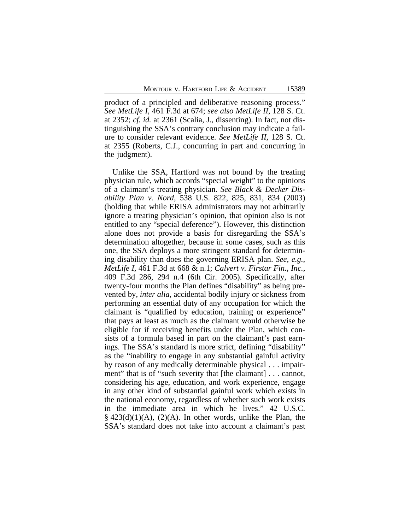product of a principled and deliberative reasoning process." *See MetLife I*, 461 F.3d at 674; *see also MetLife II*, 128 S. Ct. at 2352; *cf. id.* at 2361 (Scalia, J., dissenting). In fact, not distinguishing the SSA's contrary conclusion may indicate a failure to consider relevant evidence. *See MetLife II*, 128 S. Ct. at 2355 (Roberts, C.J., concurring in part and concurring in the judgment).

Unlike the SSA, Hartford was not bound by the treating physician rule, which accords "special weight" to the opinions of a claimant's treating physician. *See Black & Decker Disability Plan v. Nord*, 538 U.S. 822, 825, 831, 834 (2003) (holding that while ERISA administrators may not arbitrarily ignore a treating physician's opinion, that opinion also is not entitled to any "special deference"). However, this distinction alone does not provide a basis for disregarding the SSA's determination altogether, because in some cases, such as this one, the SSA deploys a more stringent standard for determining disability than does the governing ERISA plan. *See, e.g.*, *MetLife I*, 461 F.3d at 668 & n.1; *Calvert v. Firstar Fin., Inc.*, 409 F.3d 286, 294 n.4 (6th Cir. 2005). Specifically, after twenty-four months the Plan defines "disability" as being prevented by, *inter alia*, accidental bodily injury or sickness from performing an essential duty of any occupation for which the claimant is "qualified by education, training or experience" that pays at least as much as the claimant would otherwise be eligible for if receiving benefits under the Plan, which consists of a formula based in part on the claimant's past earnings. The SSA's standard is more strict, defining "disability" as the "inability to engage in any substantial gainful activity by reason of any medically determinable physical . . . impairment" that is of "such severity that [the claimant] . . . cannot, considering his age, education, and work experience, engage in any other kind of substantial gainful work which exists in the national economy, regardless of whether such work exists in the immediate area in which he lives." 42 U.S.C.  $\S$  423(d)(1)(A), (2)(A). In other words, unlike the Plan, the SSA's standard does not take into account a claimant's past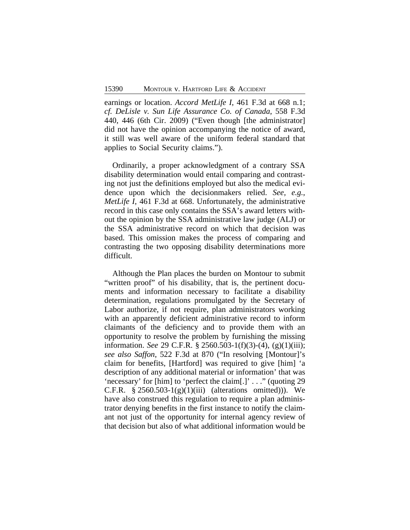earnings or location. *Accord MetLife I*, 461 F.3d at 668 n.1; *cf. DeLisle v. Sun Life Assurance Co. of Canada*, 558 F.3d 440, 446 (6th Cir. 2009) ("Even though [the administrator] did not have the opinion accompanying the notice of award, it still was well aware of the uniform federal standard that applies to Social Security claims.").

Ordinarily, a proper acknowledgment of a contrary SSA disability determination would entail comparing and contrasting not just the definitions employed but also the medical evidence upon which the decisionmakers relied. *See, e.g.*, *MetLife I*, 461 F.3d at 668. Unfortunately, the administrative record in this case only contains the SSA's award letters without the opinion by the SSA administrative law judge (ALJ) or the SSA administrative record on which that decision was based. This omission makes the process of comparing and contrasting the two opposing disability determinations more difficult.

Although the Plan places the burden on Montour to submit "written proof" of his disability, that is, the pertinent documents and information necessary to facilitate a disability determination, regulations promulgated by the Secretary of Labor authorize, if not require, plan administrators working with an apparently deficient administrative record to inform claimants of the deficiency and to provide them with an opportunity to resolve the problem by furnishing the missing information. *See* 29 C.F.R. § 2560.503-1(f)(3)-(4), (g)(1)(iii); *see also Saffon*, 522 F.3d at 870 ("In resolving [Montour]'s claim for benefits, [Hartford] was required to give [him] 'a description of any additional material or information' that was 'necessary' for [him] to 'perfect the claim[.]' . . ." (quoting 29 C.F.R.  $§ 2560.503-1(g)(1)(iii)$  (alterations omitted))). We have also construed this regulation to require a plan administrator denying benefits in the first instance to notify the claimant not just of the opportunity for internal agency review of that decision but also of what additional information would be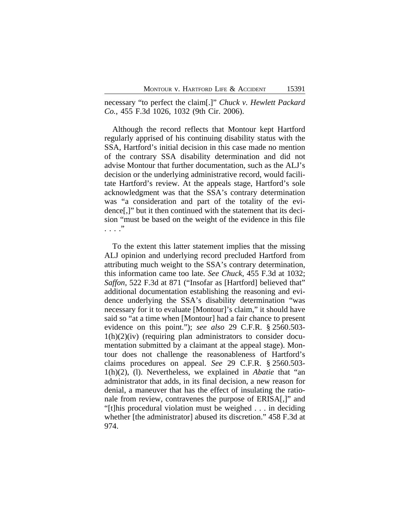necessary "to perfect the claim[.]" *Chuck v. Hewlett Packard Co.*, 455 F.3d 1026, 1032 (9th Cir. 2006).

Although the record reflects that Montour kept Hartford regularly apprised of his continuing disability status with the SSA, Hartford's initial decision in this case made no mention of the contrary SSA disability determination and did not advise Montour that further documentation, such as the ALJ's decision or the underlying administrative record, would facilitate Hartford's review. At the appeals stage, Hartford's sole acknowledgment was that the SSA's contrary determination was "a consideration and part of the totality of the evidence[,]" but it then continued with the statement that its decision "must be based on the weight of the evidence in this file . . . ."

To the extent this latter statement implies that the missing ALJ opinion and underlying record precluded Hartford from attributing much weight to the SSA's contrary determination, this information came too late. *See Chuck*, 455 F.3d at 1032; *Saffon*, 522 F.3d at 871 ("Insofar as [Hartford] believed that" additional documentation establishing the reasoning and evidence underlying the SSA's disability determination "was necessary for it to evaluate [Montour]'s claim," it should have said so "at a time when [Montour] had a fair chance to present evidence on this point."); *see also* 29 C.F.R. § 2560.503-  $1(h)(2)(iv)$  (requiring plan administrators to consider documentation submitted by a claimant at the appeal stage). Montour does not challenge the reasonableness of Hartford's claims procedures on appeal. *See* 29 C.F.R. § 2560.503- 1(h)(2), (l). Nevertheless, we explained in *Abatie* that "an administrator that adds, in its final decision, a new reason for denial, a maneuver that has the effect of insulating the rationale from review, contravenes the purpose of ERISA[,]" and "[t]his procedural violation must be weighed . . . in deciding whether [the administrator] abused its discretion." 458 F.3d at 974.